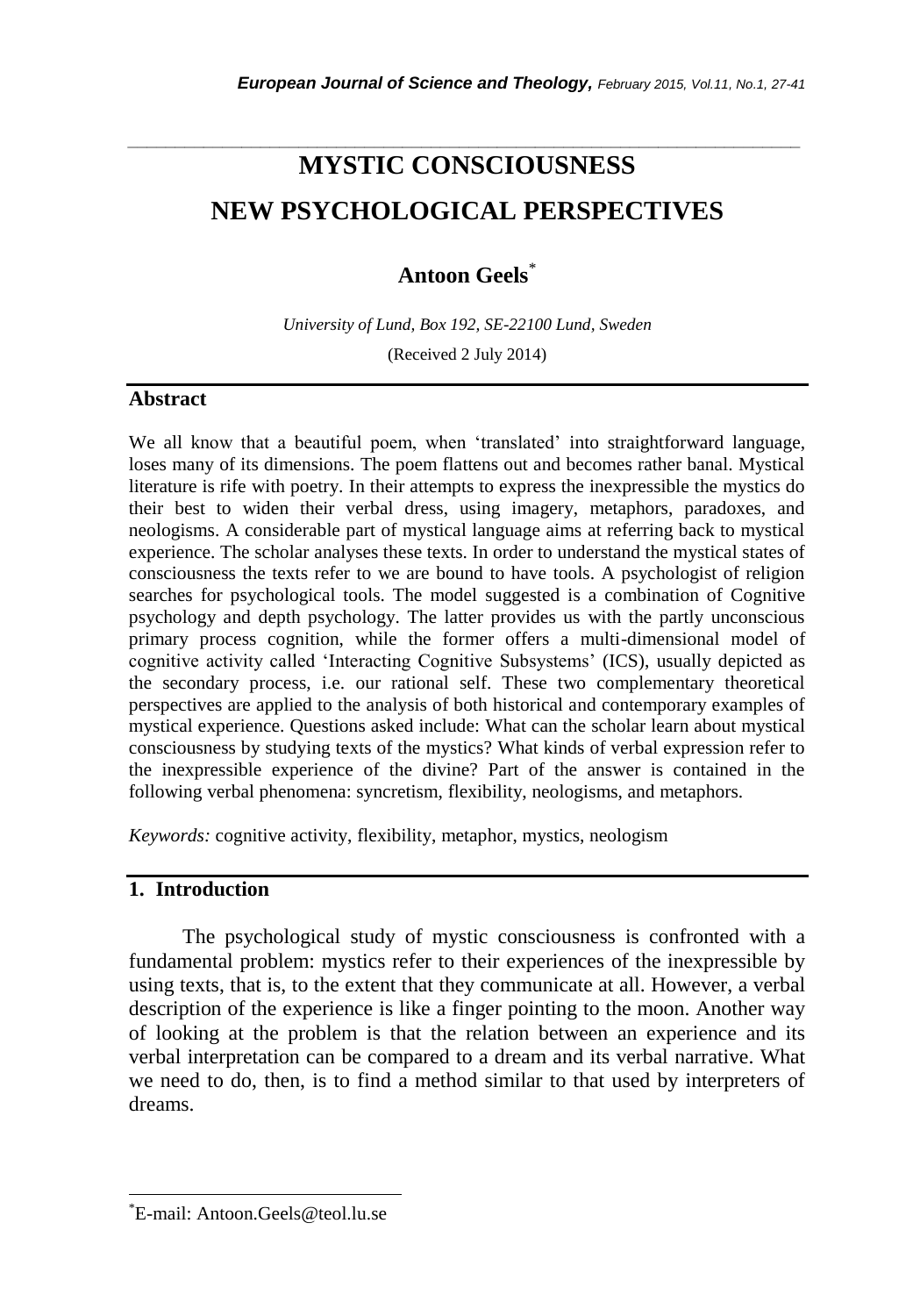# **MYSTIC CONSCIOUSNESS NEW PSYCHOLOGICAL PERSPECTIVES**

*\_\_\_\_\_\_\_\_\_\_\_\_\_\_\_\_\_\_\_\_\_\_\_\_\_\_\_\_\_\_\_\_\_\_\_\_\_\_\_\_\_\_\_\_\_\_\_\_\_\_\_\_\_\_\_\_\_\_\_\_\_\_\_\_\_\_\_\_\_\_\_*

# **Antoon Geels**\*

*University of Lund, Box 192, SE-22100 Lund, Sweden* (Received 2 July 2014)

#### **Abstract**

We all know that a beautiful poem, when "translated" into straightforward language, loses many of its dimensions. The poem flattens out and becomes rather banal. Mystical literature is rife with poetry. In their attempts to express the inexpressible the mystics do their best to widen their verbal dress, using imagery, metaphors, paradoxes, and neologisms. A considerable part of mystical language aims at referring back to mystical experience. The scholar analyses these texts. In order to understand the mystical states of consciousness the texts refer to we are bound to have tools. A psychologist of religion searches for psychological tools. The model suggested is a combination of Cognitive psychology and depth psychology. The latter provides us with the partly unconscious primary process cognition, while the former offers a multi-dimensional model of cognitive activity called "Interacting Cognitive Subsystems" (ICS), usually depicted as the secondary process, i.e. our rational self. These two complementary theoretical perspectives are applied to the analysis of both historical and contemporary examples of mystical experience. Questions asked include: What can the scholar learn about mystical consciousness by studying texts of the mystics? What kinds of verbal expression refer to the inexpressible experience of the divine? Part of the answer is contained in the following verbal phenomena: syncretism, flexibility, neologisms, and metaphors.

*Keywords:* cognitive activity, flexibility, metaphor, mystics, neologism

# **1. Introduction**

l

The psychological study of mystic consciousness is confronted with a fundamental problem: mystics refer to their experiences of the inexpressible by using texts, that is, to the extent that they communicate at all. However, a verbal description of the experience is like a finger pointing to the moon. Another way of looking at the problem is that the relation between an experience and its verbal interpretation can be compared to a dream and its verbal narrative. What we need to do, then, is to find a method similar to that used by interpreters of dreams.

<sup>\*</sup>E-mail: Antoon.Geels@teol.lu.se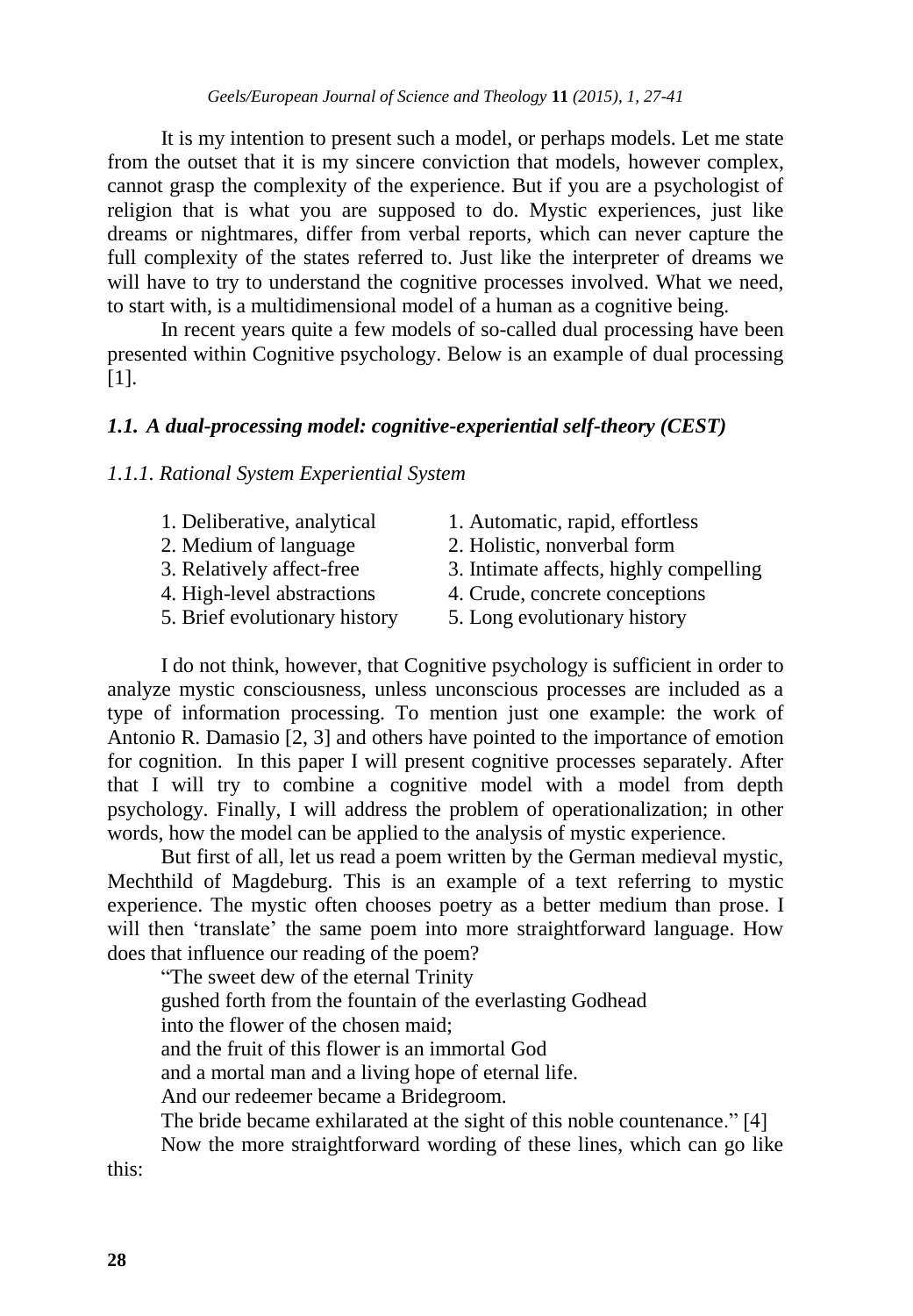It is my intention to present such a model, or perhaps models. Let me state from the outset that it is my sincere conviction that models, however complex, cannot grasp the complexity of the experience. But if you are a psychologist of religion that is what you are supposed to do. Mystic experiences, just like dreams or nightmares, differ from verbal reports, which can never capture the full complexity of the states referred to. Just like the interpreter of dreams we will have to try to understand the cognitive processes involved. What we need, to start with, is a multidimensional model of a human as a cognitive being.

In recent years quite a few models of so-called dual processing have been presented within Cognitive psychology. Below is an example of dual processing [1].

# *1.1. A dual-processing model: cognitive-experiential self-theory (CEST)*

#### *1.1.1. Rational System Experiential System*

- 
- 
- 
- 
- 
- 1. Deliberative, analytical 1. Automatic, rapid, effortless
- 2. Medium of language 2. Holistic, nonverbal form
- 3. Relatively affect-free 3. Intimate affects, highly compelling
- 4. High-level abstractions 4. Crude, concrete conceptions
- 5. Brief evolutionary history 5. Long evolutionary history

I do not think, however, that Cognitive psychology is sufficient in order to analyze mystic consciousness, unless unconscious processes are included as a type of information processing. To mention just one example: the work of Antonio R. Damasio [2, 3] and others have pointed to the importance of emotion for cognition. In this paper I will present cognitive processes separately. After that I will try to combine a cognitive model with a model from depth psychology. Finally, I will address the problem of operationalization; in other words, how the model can be applied to the analysis of mystic experience.

But first of all, let us read a poem written by the German medieval mystic, Mechthild of Magdeburg. This is an example of a text referring to mystic experience. The mystic often chooses poetry as a better medium than prose. I will then 'translate' the same poem into more straightforward language. How does that influence our reading of the poem?

"The sweet dew of the eternal Trinity gushed forth from the fountain of the everlasting Godhead into the flower of the chosen maid; and the fruit of this flower is an immortal God and a mortal man and a living hope of eternal life. And our redeemer became a Bridegroom. The bride became exhilarated at the sight of this noble countenance." [4] Now the more straightforward wording of these lines, which can go like

this: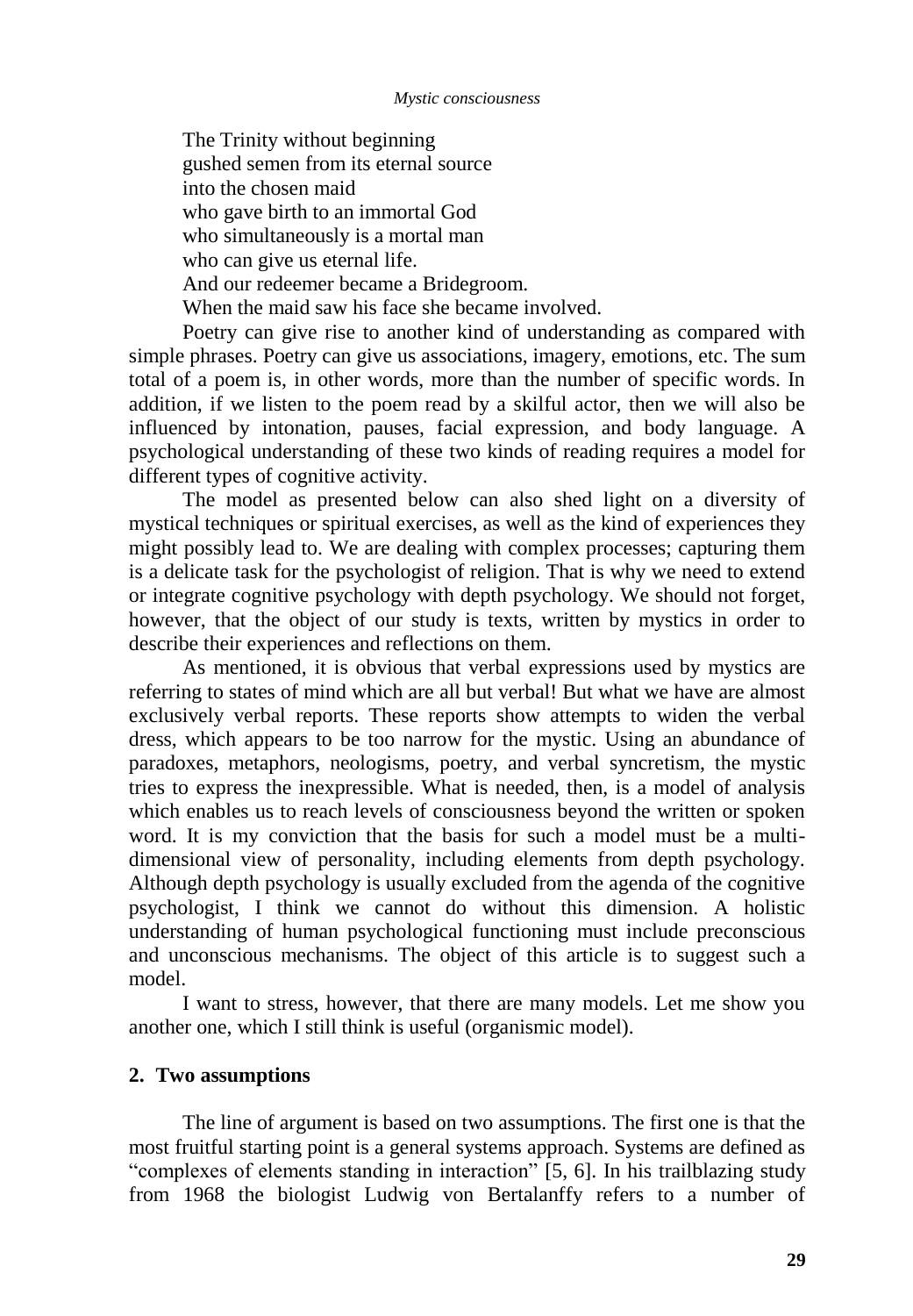The Trinity without beginning gushed semen from its eternal source into the chosen maid who gave birth to an immortal God who simultaneously is a mortal man who can give us eternal life. And our redeemer became a Bridegroom. When the maid saw his face she became involved.

Poetry can give rise to another kind of understanding as compared with simple phrases. Poetry can give us associations, imagery, emotions, etc. The sum total of a poem is, in other words, more than the number of specific words. In addition, if we listen to the poem read by a skilful actor, then we will also be influenced by intonation, pauses, facial expression, and body language. A psychological understanding of these two kinds of reading requires a model for different types of cognitive activity.

The model as presented below can also shed light on a diversity of mystical techniques or spiritual exercises, as well as the kind of experiences they might possibly lead to. We are dealing with complex processes; capturing them is a delicate task for the psychologist of religion. That is why we need to extend or integrate cognitive psychology with depth psychology. We should not forget, however, that the object of our study is texts, written by mystics in order to describe their experiences and reflections on them.

As mentioned, it is obvious that verbal expressions used by mystics are referring to states of mind which are all but verbal! But what we have are almost exclusively verbal reports. These reports show attempts to widen the verbal dress, which appears to be too narrow for the mystic. Using an abundance of paradoxes, metaphors, neologisms, poetry, and verbal syncretism, the mystic tries to express the inexpressible. What is needed, then, is a model of analysis which enables us to reach levels of consciousness beyond the written or spoken word. It is my conviction that the basis for such a model must be a multidimensional view of personality, including elements from depth psychology. Although depth psychology is usually excluded from the agenda of the cognitive psychologist, I think we cannot do without this dimension. A holistic understanding of human psychological functioning must include preconscious and unconscious mechanisms. The object of this article is to suggest such a model.

I want to stress, however, that there are many models. Let me show you another one, which I still think is useful (organismic model).

## **2. Two assumptions**

The line of argument is based on two assumptions. The first one is that the most fruitful starting point is a general systems approach. Systems are defined as "complexes of elements standing in interaction" [5, 6]. In his trailblazing study from 1968 the biologist Ludwig von Bertalanffy refers to a number of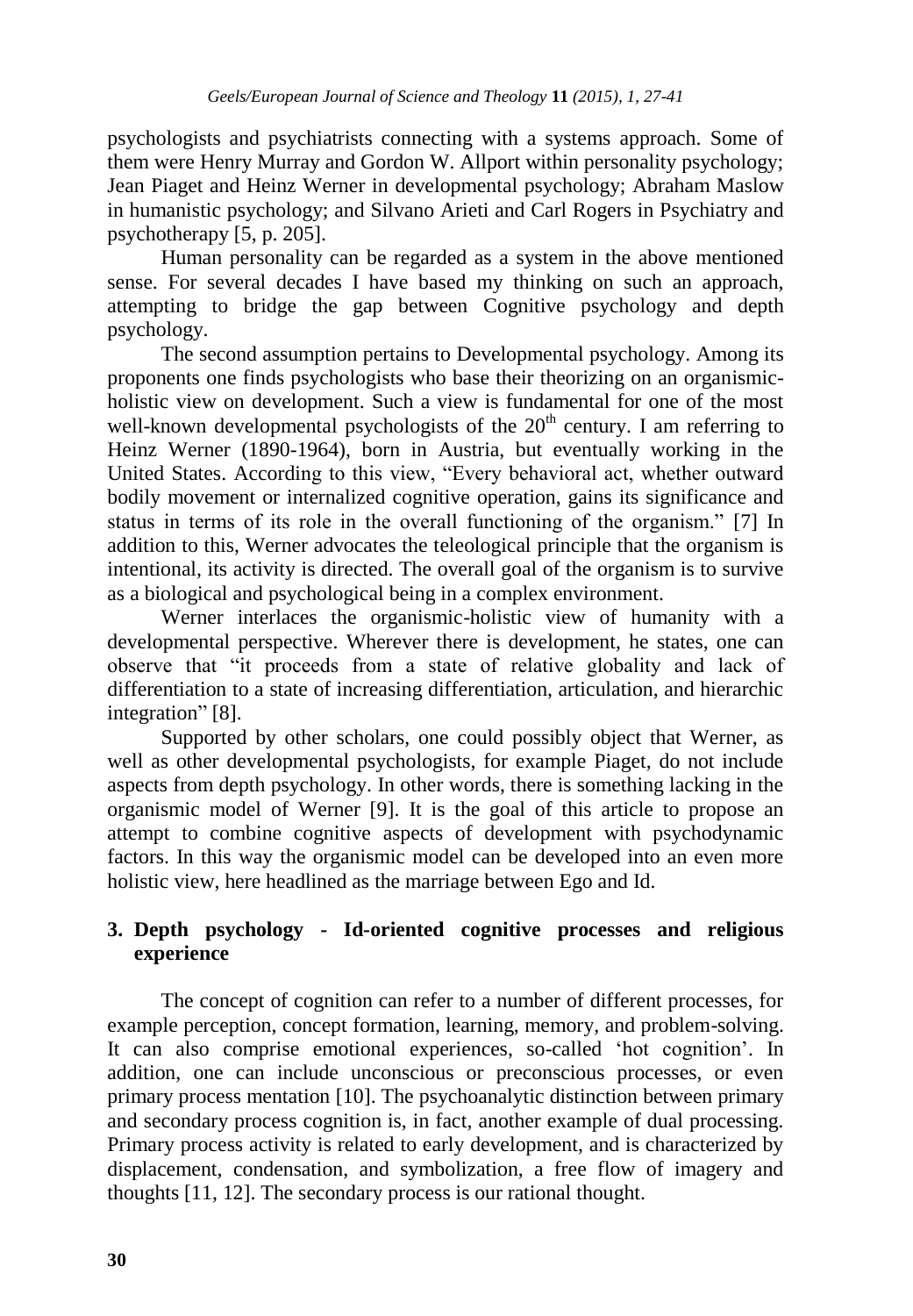psychologists and psychiatrists connecting with a systems approach. Some of them were Henry Murray and Gordon W. Allport within personality psychology; Jean Piaget and Heinz Werner in developmental psychology; Abraham Maslow in humanistic psychology; and Silvano Arieti and Carl Rogers in Psychiatry and psychotherapy [5, p. 205].

Human personality can be regarded as a system in the above mentioned sense. For several decades I have based my thinking on such an approach, attempting to bridge the gap between Cognitive psychology and depth psychology.

The second assumption pertains to Developmental psychology. Among its proponents one finds psychologists who base their theorizing on an organismicholistic view on development. Such a view is fundamental for one of the most well-known developmental psychologists of the  $20<sup>th</sup>$  century. I am referring to Heinz Werner (1890-1964), born in Austria, but eventually working in the United States. According to this view, "Every behavioral act, whether outward bodily movement or internalized cognitive operation, gains its significance and status in terms of its role in the overall functioning of the organism." [7] In addition to this, Werner advocates the teleological principle that the organism is intentional, its activity is directed. The overall goal of the organism is to survive as a biological and psychological being in a complex environment.

Werner interlaces the organismic-holistic view of humanity with a developmental perspective. Wherever there is development, he states, one can observe that "it proceeds from a state of relative globality and lack of differentiation to a state of increasing differentiation, articulation, and hierarchic integration" [8].

Supported by other scholars, one could possibly object that Werner, as well as other developmental psychologists, for example Piaget, do not include aspects from depth psychology. In other words, there is something lacking in the organismic model of Werner [9]. It is the goal of this article to propose an attempt to combine cognitive aspects of development with psychodynamic factors. In this way the organismic model can be developed into an even more holistic view, here headlined as the marriage between Ego and Id.

# **3. Depth psychology - Id-oriented cognitive processes and religious experience**

The concept of cognition can refer to a number of different processes, for example perception, concept formation, learning, memory, and problem-solving. It can also comprise emotional experiences, so-called "hot cognition". In addition, one can include unconscious or preconscious processes, or even primary process mentation [10]. The psychoanalytic distinction between primary and secondary process cognition is, in fact, another example of dual processing. Primary process activity is related to early development, and is characterized by displacement, condensation, and symbolization, a free flow of imagery and thoughts [11, 12]. The secondary process is our rational thought.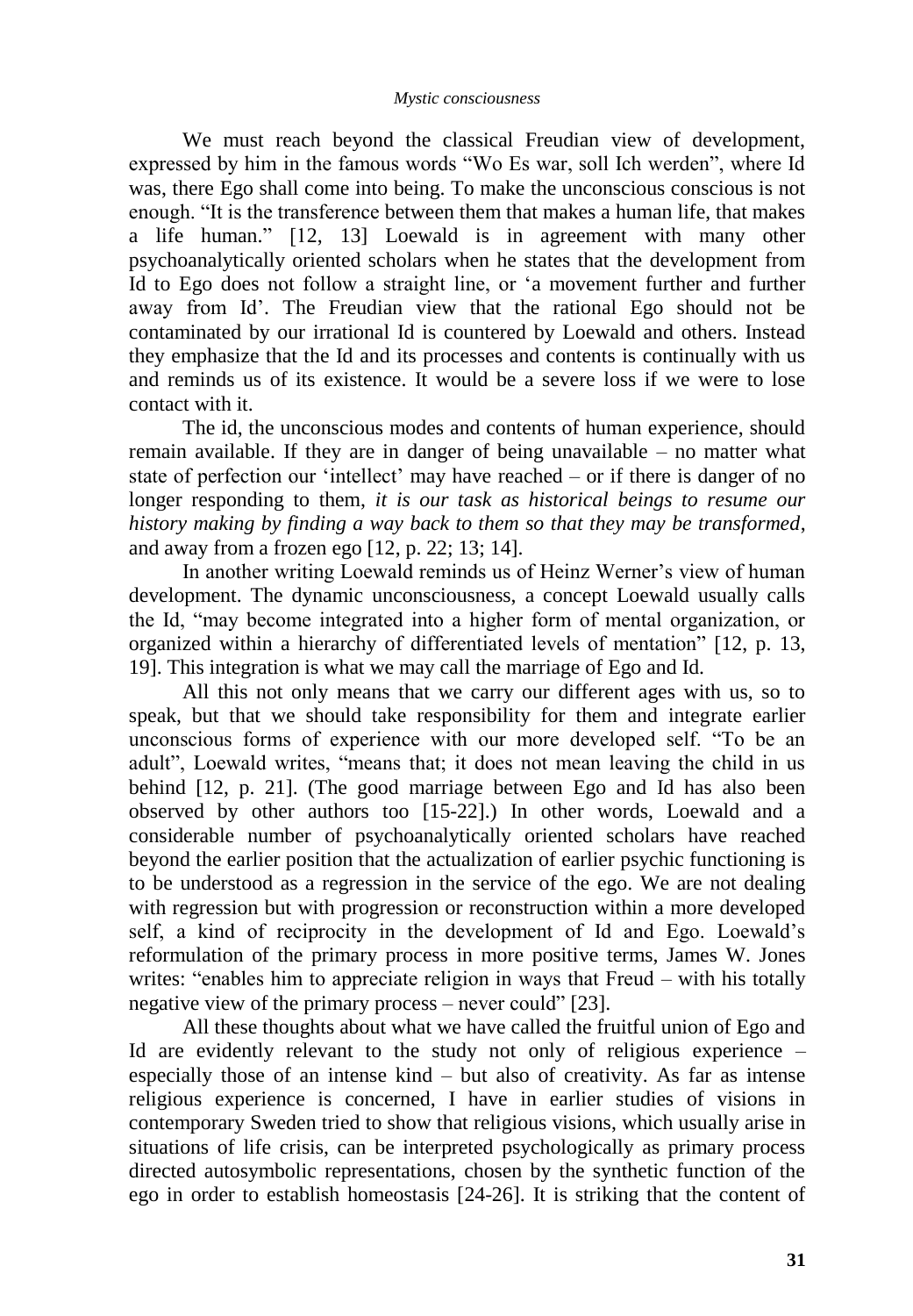We must reach beyond the classical Freudian view of development, expressed by him in the famous words "Wo Es war, soll Ich werden", where Id was, there Ego shall come into being. To make the unconscious conscious is not enough. "It is the transference between them that makes a human life, that makes a life human." [12, 13] Loewald is in agreement with many other psychoanalytically oriented scholars when he states that the development from Id to Ego does not follow a straight line, or "a movement further and further away from Id". The Freudian view that the rational Ego should not be contaminated by our irrational Id is countered by Loewald and others. Instead they emphasize that the Id and its processes and contents is continually with us and reminds us of its existence. It would be a severe loss if we were to lose contact with it.

The id, the unconscious modes and contents of human experience, should remain available. If they are in danger of being unavailable – no matter what state of perfection our 'intellect' may have reached – or if there is danger of no longer responding to them, *it is our task as historical beings to resume our history making by finding a way back to them so that they may be transformed*, and away from a frozen ego [12, p. 22; 13; 14].

In another writing Loewald reminds us of Heinz Werner"s view of human development. The dynamic unconsciousness, a concept Loewald usually calls the Id, "may become integrated into a higher form of mental organization, or organized within a hierarchy of differentiated levels of mentation" [12, p. 13, 19]. This integration is what we may call the marriage of Ego and Id.

All this not only means that we carry our different ages with us, so to speak, but that we should take responsibility for them and integrate earlier unconscious forms of experience with our more developed self. "To be an adult", Loewald writes, "means that; it does not mean leaving the child in us behind [12, p. 21]. (The good marriage between Ego and Id has also been observed by other authors too [15-22].) In other words, Loewald and a considerable number of psychoanalytically oriented scholars have reached beyond the earlier position that the actualization of earlier psychic functioning is to be understood as a regression in the service of the ego. We are not dealing with regression but with progression or reconstruction within a more developed self, a kind of reciprocity in the development of Id and Ego. Loewald"s reformulation of the primary process in more positive terms, James W. Jones writes: "enables him to appreciate religion in ways that Freud – with his totally negative view of the primary process – never could" [23].

All these thoughts about what we have called the fruitful union of Ego and Id are evidently relevant to the study not only of religious experience – especially those of an intense kind – but also of creativity. As far as intense religious experience is concerned, I have in earlier studies of visions in contemporary Sweden tried to show that religious visions, which usually arise in situations of life crisis, can be interpreted psychologically as primary process directed autosymbolic representations, chosen by the synthetic function of the ego in order to establish homeostasis [24-26]. It is striking that the content of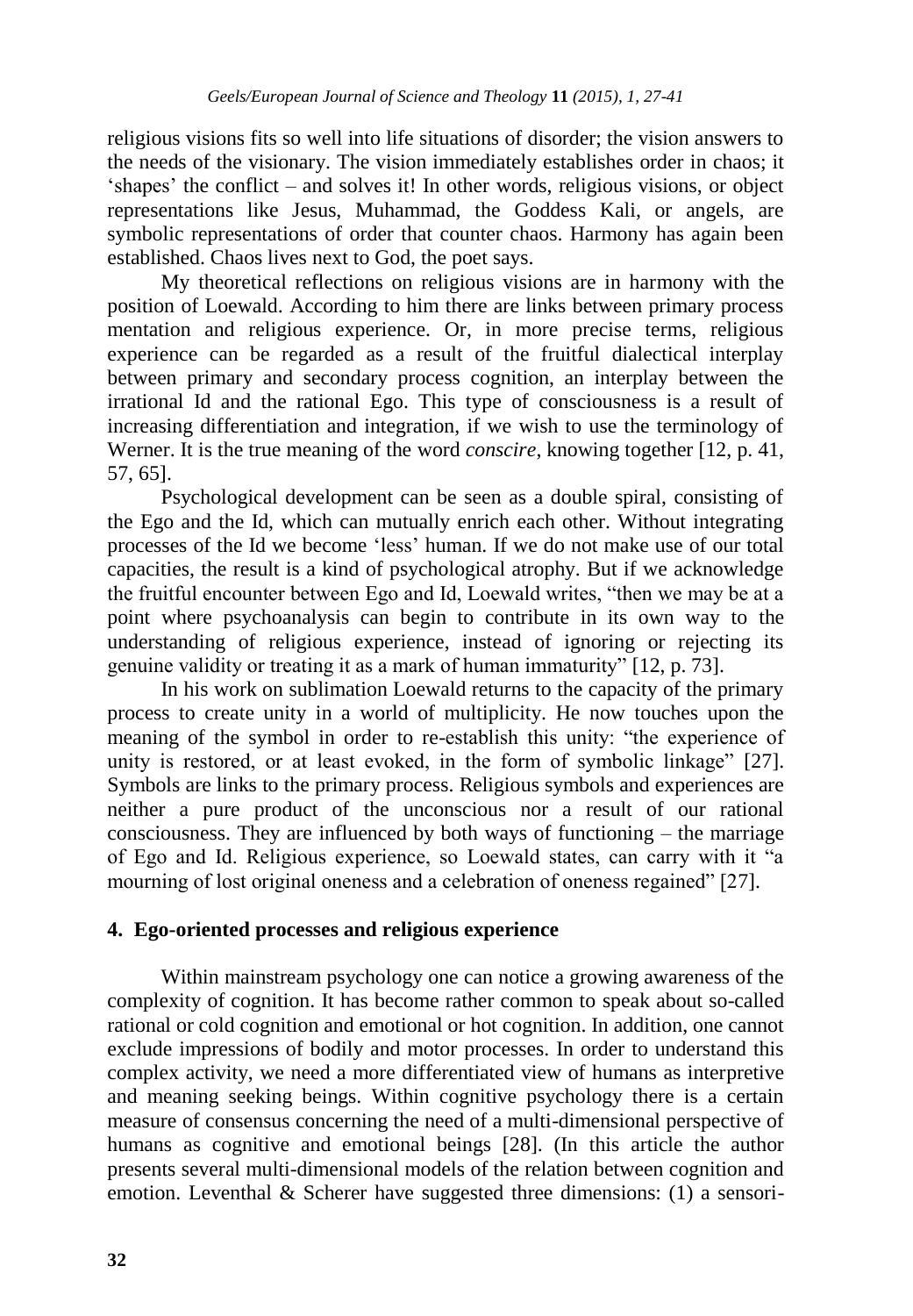religious visions fits so well into life situations of disorder; the vision answers to the needs of the visionary. The vision immediately establishes order in chaos; it "shapes" the conflict – and solves it! In other words, religious visions, or object representations like Jesus, Muhammad, the Goddess Kali, or angels, are symbolic representations of order that counter chaos. Harmony has again been established. Chaos lives next to God, the poet says.

My theoretical reflections on religious visions are in harmony with the position of Loewald. According to him there are links between primary process mentation and religious experience. Or, in more precise terms, religious experience can be regarded as a result of the fruitful dialectical interplay between primary and secondary process cognition, an interplay between the irrational Id and the rational Ego. This type of consciousness is a result of increasing differentiation and integration, if we wish to use the terminology of Werner. It is the true meaning of the word *conscire*, knowing together [12, p. 41, 57, 65].

Psychological development can be seen as a double spiral, consisting of the Ego and the Id, which can mutually enrich each other. Without integrating processes of the Id we become "less" human. If we do not make use of our total capacities, the result is a kind of psychological atrophy. But if we acknowledge the fruitful encounter between Ego and Id, Loewald writes, "then we may be at a point where psychoanalysis can begin to contribute in its own way to the understanding of religious experience, instead of ignoring or rejecting its genuine validity or treating it as a mark of human immaturity" [12, p. 73].

In his work on sublimation Loewald returns to the capacity of the primary process to create unity in a world of multiplicity. He now touches upon the meaning of the symbol in order to re-establish this unity: "the experience of unity is restored, or at least evoked, in the form of symbolic linkage" [27]. Symbols are links to the primary process. Religious symbols and experiences are neither a pure product of the unconscious nor a result of our rational consciousness. They are influenced by both ways of functioning – the marriage of Ego and Id. Religious experience, so Loewald states, can carry with it "a mourning of lost original oneness and a celebration of oneness regained" [27].

#### **4. Ego-oriented processes and religious experience**

Within mainstream psychology one can notice a growing awareness of the complexity of cognition. It has become rather common to speak about so-called rational or cold cognition and emotional or hot cognition. In addition, one cannot exclude impressions of bodily and motor processes. In order to understand this complex activity, we need a more differentiated view of humans as interpretive and meaning seeking beings. Within cognitive psychology there is a certain measure of consensus concerning the need of a multi-dimensional perspective of humans as cognitive and emotional beings [28]. (In this article the author presents several multi-dimensional models of the relation between cognition and emotion. Leventhal & Scherer have suggested three dimensions: (1) a sensori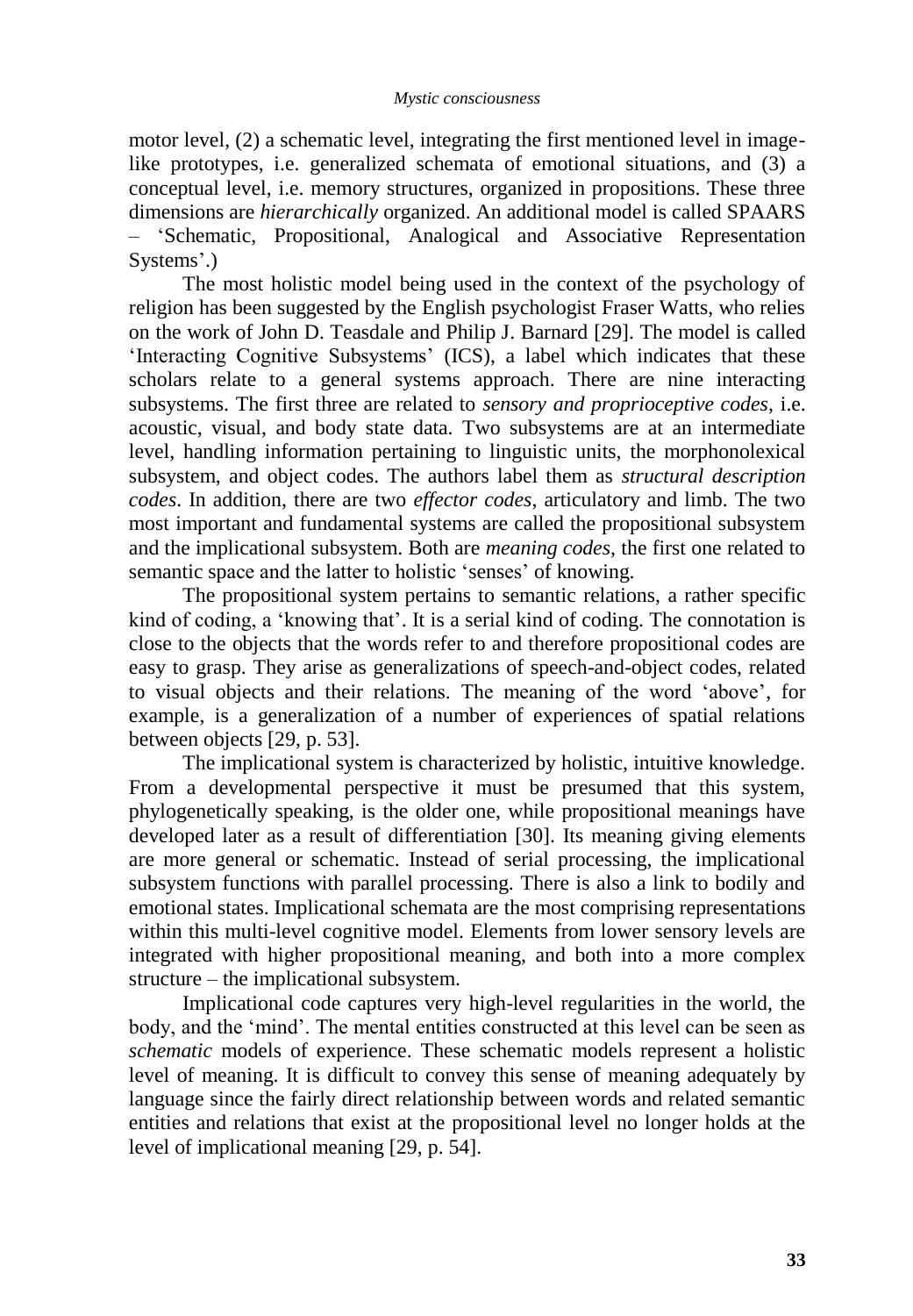motor level, (2) a schematic level, integrating the first mentioned level in imagelike prototypes, i.e. generalized schemata of emotional situations, and (3) a conceptual level, i.e. memory structures, organized in propositions. These three dimensions are *hierarchically* organized. An additional model is called SPAARS – "Schematic, Propositional, Analogical and Associative Representation Systems'.)

The most holistic model being used in the context of the psychology of religion has been suggested by the English psychologist Fraser Watts, who relies on the work of John D. Teasdale and Philip J. Barnard [29]. The model is called 'Interacting Cognitive Subsystems' (ICS), a label which indicates that these scholars relate to a general systems approach. There are nine interacting subsystems. The first three are related to *sensory and proprioceptive codes*, i.e. acoustic, visual, and body state data. Two subsystems are at an intermediate level, handling information pertaining to linguistic units, the morphonolexical subsystem, and object codes. The authors label them as *structural description codes*. In addition, there are two *effector codes*, articulatory and limb. The two most important and fundamental systems are called the propositional subsystem and the implicational subsystem. Both are *meaning codes*, the first one related to semantic space and the latter to holistic 'senses' of knowing.

The propositional system pertains to semantic relations, a rather specific kind of coding, a "knowing that". It is a serial kind of coding. The connotation is close to the objects that the words refer to and therefore propositional codes are easy to grasp. They arise as generalizations of speech-and-object codes, related to visual objects and their relations. The meaning of the word "above", for example, is a generalization of a number of experiences of spatial relations between objects [29, p. 53].

The implicational system is characterized by holistic, intuitive knowledge. From a developmental perspective it must be presumed that this system, phylogenetically speaking, is the older one, while propositional meanings have developed later as a result of differentiation [30]. Its meaning giving elements are more general or schematic. Instead of serial processing, the implicational subsystem functions with parallel processing. There is also a link to bodily and emotional states. Implicational schemata are the most comprising representations within this multi-level cognitive model. Elements from lower sensory levels are integrated with higher propositional meaning, and both into a more complex structure – the implicational subsystem.

Implicational code captures very high-level regularities in the world, the body, and the "mind". The mental entities constructed at this level can be seen as *schematic* models of experience. These schematic models represent a holistic level of meaning. It is difficult to convey this sense of meaning adequately by language since the fairly direct relationship between words and related semantic entities and relations that exist at the propositional level no longer holds at the level of implicational meaning [29, p. 54].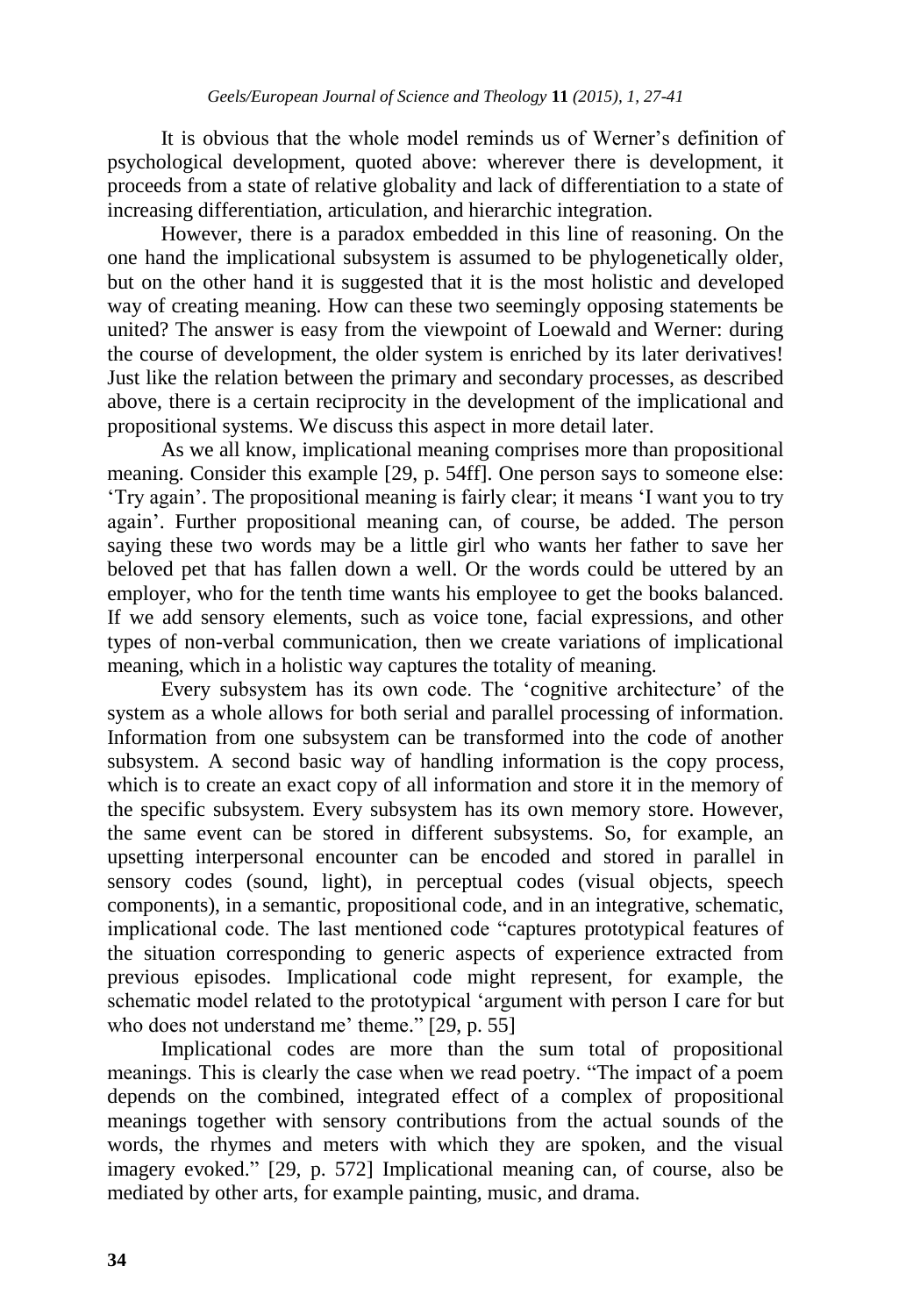It is obvious that the whole model reminds us of Werner"s definition of psychological development, quoted above: wherever there is development, it proceeds from a state of relative globality and lack of differentiation to a state of increasing differentiation, articulation, and hierarchic integration.

However, there is a paradox embedded in this line of reasoning. On the one hand the implicational subsystem is assumed to be phylogenetically older, but on the other hand it is suggested that it is the most holistic and developed way of creating meaning. How can these two seemingly opposing statements be united? The answer is easy from the viewpoint of Loewald and Werner: during the course of development, the older system is enriched by its later derivatives! Just like the relation between the primary and secondary processes, as described above, there is a certain reciprocity in the development of the implicational and propositional systems. We discuss this aspect in more detail later.

As we all know, implicational meaning comprises more than propositional meaning. Consider this example [29, p. 54ff]. One person says to someone else: "Try again". The propositional meaning is fairly clear; it means "I want you to try again". Further propositional meaning can, of course, be added. The person saying these two words may be a little girl who wants her father to save her beloved pet that has fallen down a well. Or the words could be uttered by an employer, who for the tenth time wants his employee to get the books balanced. If we add sensory elements, such as voice tone, facial expressions, and other types of non-verbal communication, then we create variations of implicational meaning, which in a holistic way captures the totality of meaning.

Every subsystem has its own code. The "cognitive architecture" of the system as a whole allows for both serial and parallel processing of information. Information from one subsystem can be transformed into the code of another subsystem. A second basic way of handling information is the copy process, which is to create an exact copy of all information and store it in the memory of the specific subsystem. Every subsystem has its own memory store. However, the same event can be stored in different subsystems. So, for example, an upsetting interpersonal encounter can be encoded and stored in parallel in sensory codes (sound, light), in perceptual codes (visual objects, speech components), in a semantic, propositional code, and in an integrative, schematic, implicational code. The last mentioned code "captures prototypical features of the situation corresponding to generic aspects of experience extracted from previous episodes. Implicational code might represent, for example, the schematic model related to the prototypical "argument with person I care for but who does not understand me' theme." [29, p. 55]

Implicational codes are more than the sum total of propositional meanings. This is clearly the case when we read poetry. "The impact of a poem depends on the combined, integrated effect of a complex of propositional meanings together with sensory contributions from the actual sounds of the words, the rhymes and meters with which they are spoken, and the visual imagery evoked." [29, p. 572] Implicational meaning can, of course, also be mediated by other arts, for example painting, music, and drama.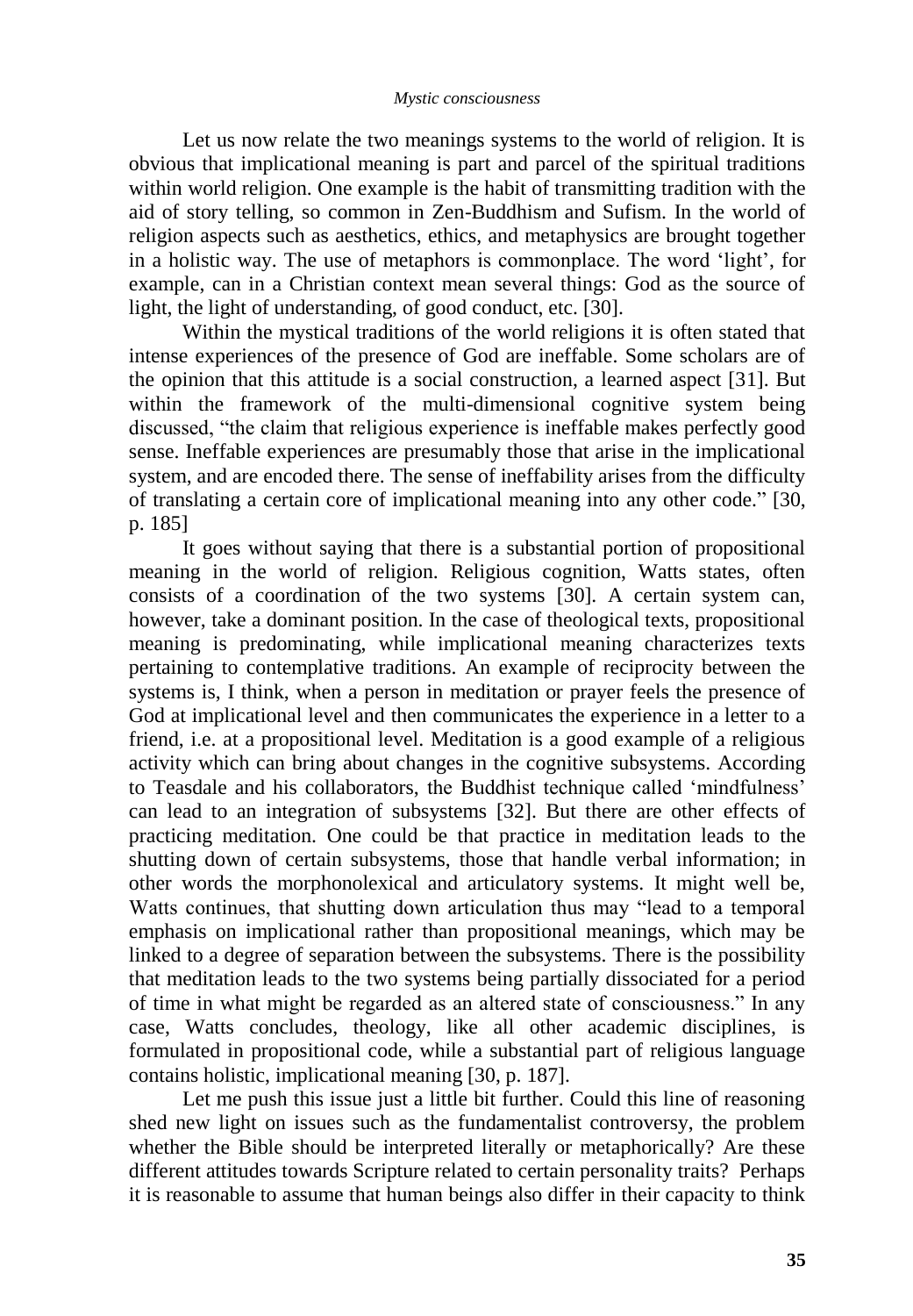#### *Mystic consciousness*

Let us now relate the two meanings systems to the world of religion. It is obvious that implicational meaning is part and parcel of the spiritual traditions within world religion. One example is the habit of transmitting tradition with the aid of story telling, so common in Zen-Buddhism and Sufism. In the world of religion aspects such as aesthetics, ethics, and metaphysics are brought together in a holistic way. The use of metaphors is commonplace. The word "light", for example, can in a Christian context mean several things: God as the source of light, the light of understanding, of good conduct, etc. [30].

Within the mystical traditions of the world religions it is often stated that intense experiences of the presence of God are ineffable. Some scholars are of the opinion that this attitude is a social construction, a learned aspect [31]. But within the framework of the multi-dimensional cognitive system being discussed, "the claim that religious experience is ineffable makes perfectly good sense. Ineffable experiences are presumably those that arise in the implicational system, and are encoded there. The sense of ineffability arises from the difficulty of translating a certain core of implicational meaning into any other code." [30, p. 185]

It goes without saying that there is a substantial portion of propositional meaning in the world of religion. Religious cognition, Watts states, often consists of a coordination of the two systems [30]. A certain system can, however, take a dominant position. In the case of theological texts, propositional meaning is predominating, while implicational meaning characterizes texts pertaining to contemplative traditions. An example of reciprocity between the systems is, I think, when a person in meditation or prayer feels the presence of God at implicational level and then communicates the experience in a letter to a friend, i.e. at a propositional level. Meditation is a good example of a religious activity which can bring about changes in the cognitive subsystems. According to Teasdale and his collaborators, the Buddhist technique called "mindfulness" can lead to an integration of subsystems [32]. But there are other effects of practicing meditation. One could be that practice in meditation leads to the shutting down of certain subsystems, those that handle verbal information; in other words the morphonolexical and articulatory systems. It might well be, Watts continues, that shutting down articulation thus may "lead to a temporal emphasis on implicational rather than propositional meanings, which may be linked to a degree of separation between the subsystems. There is the possibility that meditation leads to the two systems being partially dissociated for a period of time in what might be regarded as an altered state of consciousness." In any case, Watts concludes, theology, like all other academic disciplines, is formulated in propositional code, while a substantial part of religious language contains holistic, implicational meaning [30, p. 187].

Let me push this issue just a little bit further. Could this line of reasoning shed new light on issues such as the fundamentalist controversy, the problem whether the Bible should be interpreted literally or metaphorically? Are these different attitudes towards Scripture related to certain personality traits? Perhaps it is reasonable to assume that human beings also differ in their capacity to think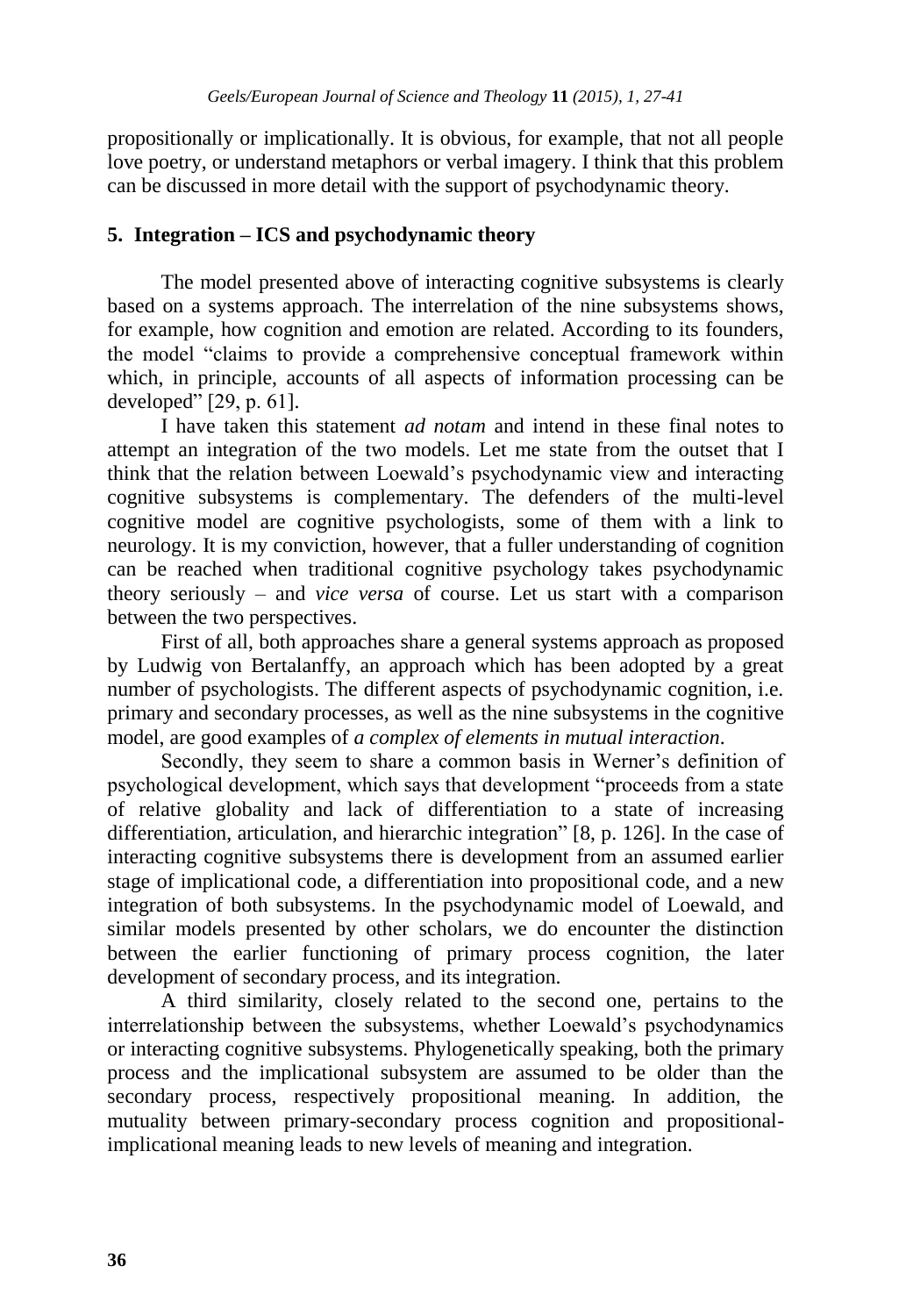propositionally or implicationally. It is obvious, for example, that not all people love poetry, or understand metaphors or verbal imagery. I think that this problem can be discussed in more detail with the support of psychodynamic theory.

## **5. Integration – ICS and psychodynamic theory**

The model presented above of interacting cognitive subsystems is clearly based on a systems approach. The interrelation of the nine subsystems shows, for example, how cognition and emotion are related. According to its founders, the model "claims to provide a comprehensive conceptual framework within which, in principle, accounts of all aspects of information processing can be developed" [29, p. 61].

I have taken this statement *ad notam* and intend in these final notes to attempt an integration of the two models. Let me state from the outset that I think that the relation between Loewald"s psychodynamic view and interacting cognitive subsystems is complementary. The defenders of the multi-level cognitive model are cognitive psychologists, some of them with a link to neurology. It is my conviction, however, that a fuller understanding of cognition can be reached when traditional cognitive psychology takes psychodynamic theory seriously – and *vice versa* of course. Let us start with a comparison between the two perspectives.

First of all, both approaches share a general systems approach as proposed by Ludwig von Bertalanffy, an approach which has been adopted by a great number of psychologists. The different aspects of psychodynamic cognition, i.e. primary and secondary processes, as well as the nine subsystems in the cognitive model, are good examples of *a complex of elements in mutual interaction*.

Secondly, they seem to share a common basis in Werner's definition of psychological development, which says that development "proceeds from a state of relative globality and lack of differentiation to a state of increasing differentiation, articulation, and hierarchic integration" [8, p. 126]. In the case of interacting cognitive subsystems there is development from an assumed earlier stage of implicational code, a differentiation into propositional code, and a new integration of both subsystems. In the psychodynamic model of Loewald, and similar models presented by other scholars, we do encounter the distinction between the earlier functioning of primary process cognition, the later development of secondary process, and its integration.

A third similarity, closely related to the second one, pertains to the interrelationship between the subsystems, whether Loewald's psychodynamics or interacting cognitive subsystems. Phylogenetically speaking, both the primary process and the implicational subsystem are assumed to be older than the secondary process, respectively propositional meaning. In addition, the mutuality between primary-secondary process cognition and propositionalimplicational meaning leads to new levels of meaning and integration.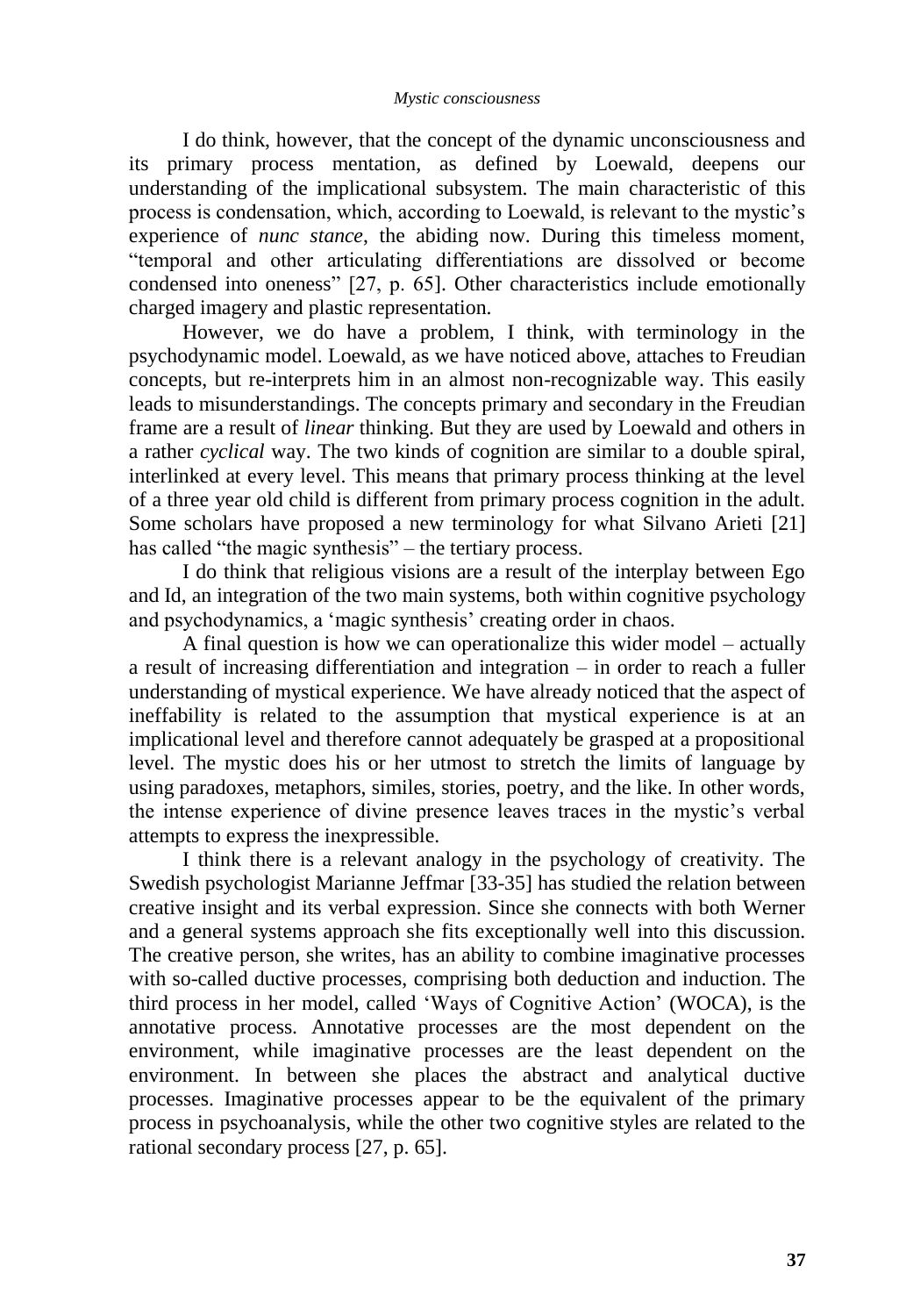I do think, however, that the concept of the dynamic unconsciousness and its primary process mentation, as defined by Loewald, deepens our understanding of the implicational subsystem. The main characteristic of this process is condensation, which, according to Loewald, is relevant to the mystic"s experience of *nunc stance*, the abiding now. During this timeless moment, "temporal and other articulating differentiations are dissolved or become condensed into oneness" [27, p. 65]. Other characteristics include emotionally charged imagery and plastic representation.

However, we do have a problem, I think, with terminology in the psychodynamic model. Loewald, as we have noticed above, attaches to Freudian concepts, but re-interprets him in an almost non-recognizable way. This easily leads to misunderstandings. The concepts primary and secondary in the Freudian frame are a result of *linear* thinking. But they are used by Loewald and others in a rather *cyclical* way. The two kinds of cognition are similar to a double spiral, interlinked at every level. This means that primary process thinking at the level of a three year old child is different from primary process cognition in the adult. Some scholars have proposed a new terminology for what Silvano Arieti [21] has called "the magic synthesis" – the tertiary process.

I do think that religious visions are a result of the interplay between Ego and Id, an integration of the two main systems, both within cognitive psychology and psychodynamics, a "magic synthesis" creating order in chaos.

A final question is how we can operationalize this wider model – actually a result of increasing differentiation and integration – in order to reach a fuller understanding of mystical experience. We have already noticed that the aspect of ineffability is related to the assumption that mystical experience is at an implicational level and therefore cannot adequately be grasped at a propositional level. The mystic does his or her utmost to stretch the limits of language by using paradoxes, metaphors, similes, stories, poetry, and the like. In other words, the intense experience of divine presence leaves traces in the mystic"s verbal attempts to express the inexpressible.

I think there is a relevant analogy in the psychology of creativity. The Swedish psychologist Marianne Jeffmar [33-35] has studied the relation between creative insight and its verbal expression. Since she connects with both Werner and a general systems approach she fits exceptionally well into this discussion. The creative person, she writes, has an ability to combine imaginative processes with so-called ductive processes, comprising both deduction and induction. The third process in her model, called "Ways of Cognitive Action" (WOCA), is the annotative process. Annotative processes are the most dependent on the environment, while imaginative processes are the least dependent on the environment. In between she places the abstract and analytical ductive processes. Imaginative processes appear to be the equivalent of the primary process in psychoanalysis, while the other two cognitive styles are related to the rational secondary process [27, p. 65].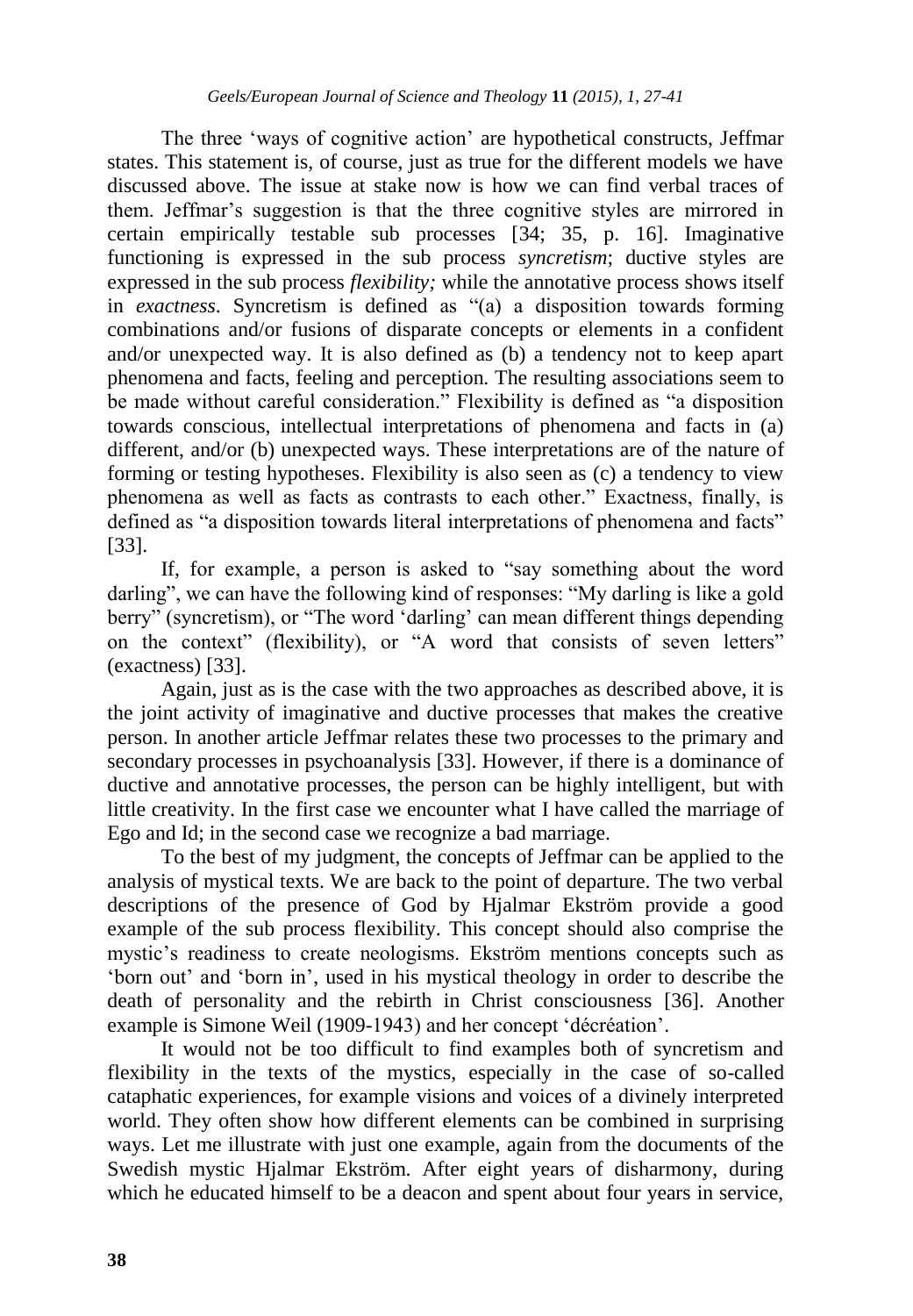The three "ways of cognitive action" are hypothetical constructs, Jeffmar states. This statement is, of course, just as true for the different models we have discussed above. The issue at stake now is how we can find verbal traces of them. Jeffmar"s suggestion is that the three cognitive styles are mirrored in certain empirically testable sub processes [34; 35, p. 16]. Imaginative functioning is expressed in the sub process *syncretism*; ductive styles are expressed in the sub process *flexibility;* while the annotative process shows itself in *exactness*. Syncretism is defined as "(a) a disposition towards forming combinations and/or fusions of disparate concepts or elements in a confident and/or unexpected way. It is also defined as (b) a tendency not to keep apart phenomena and facts, feeling and perception. The resulting associations seem to be made without careful consideration." Flexibility is defined as "a disposition towards conscious, intellectual interpretations of phenomena and facts in (a) different, and/or (b) unexpected ways. These interpretations are of the nature of forming or testing hypotheses. Flexibility is also seen as (c) a tendency to view phenomena as well as facts as contrasts to each other." Exactness, finally, is defined as "a disposition towards literal interpretations of phenomena and facts" [33].

If, for example, a person is asked to "say something about the word darling", we can have the following kind of responses: "My darling is like a gold berry" (syncretism), or "The word "darling" can mean different things depending on the context" (flexibility), or "A word that consists of seven letters" (exactness) [33].

Again, just as is the case with the two approaches as described above, it is the joint activity of imaginative and ductive processes that makes the creative person. In another article Jeffmar relates these two processes to the primary and secondary processes in psychoanalysis [33]. However, if there is a dominance of ductive and annotative processes, the person can be highly intelligent, but with little creativity. In the first case we encounter what I have called the marriage of Ego and Id; in the second case we recognize a bad marriage.

To the best of my judgment, the concepts of Jeffmar can be applied to the analysis of mystical texts. We are back to the point of departure. The two verbal descriptions of the presence of God by Hjalmar Ekström provide a good example of the sub process flexibility. This concept should also comprise the mystic"s readiness to create neologisms. Ekström mentions concepts such as "born out" and "born in", used in his mystical theology in order to describe the death of personality and the rebirth in Christ consciousness [36]. Another example is Simone Weil (1909-1943) and her concept "décréation".

It would not be too difficult to find examples both of syncretism and flexibility in the texts of the mystics, especially in the case of so-called cataphatic experiences, for example visions and voices of a divinely interpreted world. They often show how different elements can be combined in surprising ways. Let me illustrate with just one example, again from the documents of the Swedish mystic Hjalmar Ekström. After eight years of disharmony, during which he educated himself to be a deacon and spent about four years in service,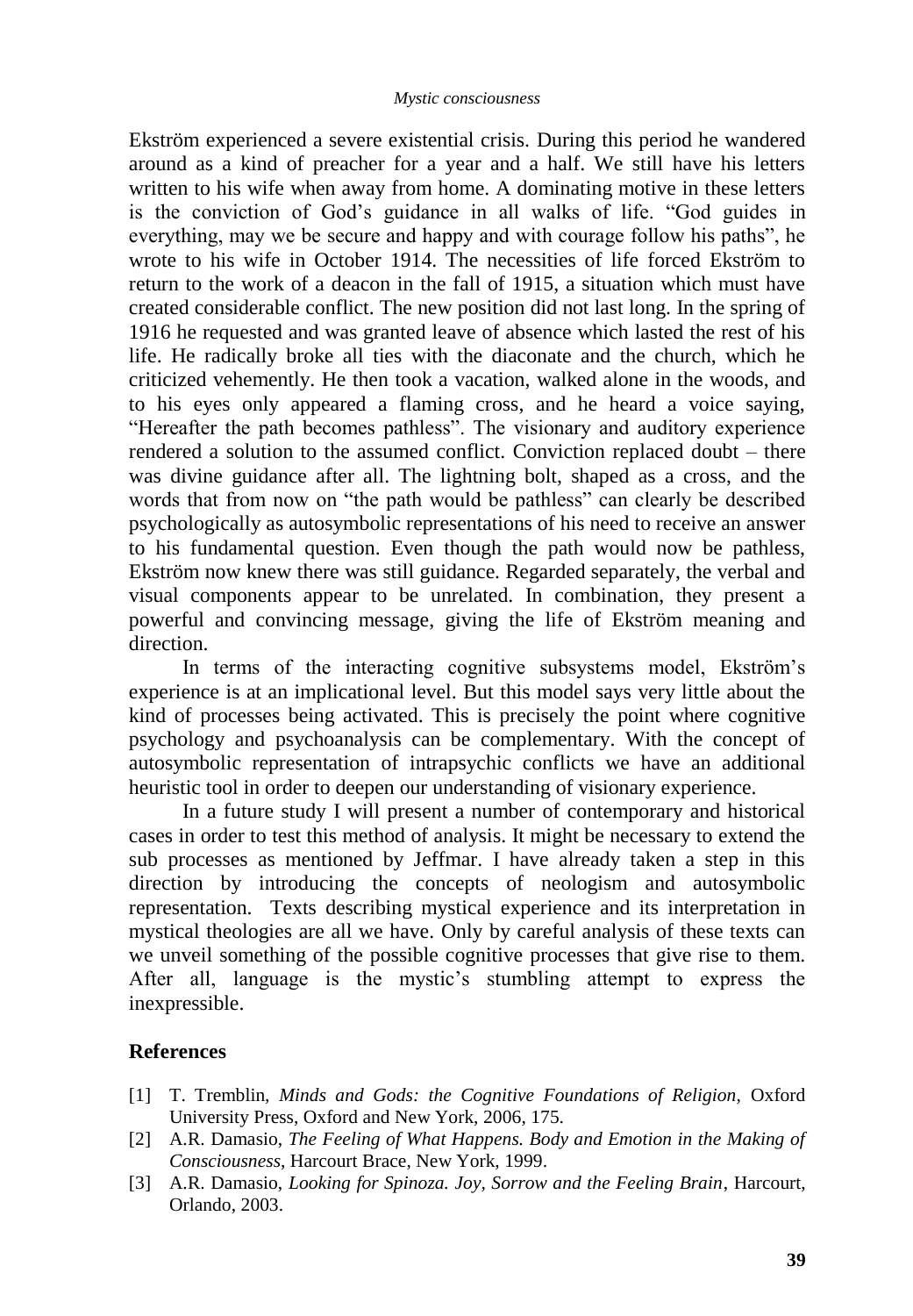Ekström experienced a severe existential crisis. During this period he wandered around as a kind of preacher for a year and a half. We still have his letters written to his wife when away from home. A dominating motive in these letters is the conviction of God"s guidance in all walks of life. "God guides in everything, may we be secure and happy and with courage follow his paths", he wrote to his wife in October 1914. The necessities of life forced Ekström to return to the work of a deacon in the fall of 1915, a situation which must have created considerable conflict. The new position did not last long. In the spring of 1916 he requested and was granted leave of absence which lasted the rest of his life. He radically broke all ties with the diaconate and the church, which he criticized vehemently. He then took a vacation, walked alone in the woods, and to his eyes only appeared a flaming cross, and he heard a voice saying, "Hereafter the path becomes pathless". The visionary and auditory experience rendered a solution to the assumed conflict. Conviction replaced doubt – there was divine guidance after all. The lightning bolt, shaped as a cross, and the words that from now on "the path would be pathless" can clearly be described psychologically as autosymbolic representations of his need to receive an answer to his fundamental question. Even though the path would now be pathless, Ekström now knew there was still guidance. Regarded separately, the verbal and visual components appear to be unrelated. In combination, they present a powerful and convincing message, giving the life of Ekström meaning and direction.

In terms of the interacting cognitive subsystems model, Ekström"s experience is at an implicational level. But this model says very little about the kind of processes being activated. This is precisely the point where cognitive psychology and psychoanalysis can be complementary. With the concept of autosymbolic representation of intrapsychic conflicts we have an additional heuristic tool in order to deepen our understanding of visionary experience.

In a future study I will present a number of contemporary and historical cases in order to test this method of analysis. It might be necessary to extend the sub processes as mentioned by Jeffmar. I have already taken a step in this direction by introducing the concepts of neologism and autosymbolic representation. Texts describing mystical experience and its interpretation in mystical theologies are all we have. Only by careful analysis of these texts can we unveil something of the possible cognitive processes that give rise to them. After all, language is the mystic"s stumbling attempt to express the inexpressible.

#### **References**

- [1] T. Tremblin, *Minds and Gods: the Cognitive Foundations of Religion,* Oxford University Press, Oxford and New York, 2006, 175.
- [2] A.R. Damasio, *The Feeling of What Happens. Body and Emotion in the Making of Consciousness*, Harcourt Brace, New York, 1999.
- [3] A.R. Damasio, *Looking for Spinoza. Joy, Sorrow and the Feeling Brain*, Harcourt, Orlando, 2003.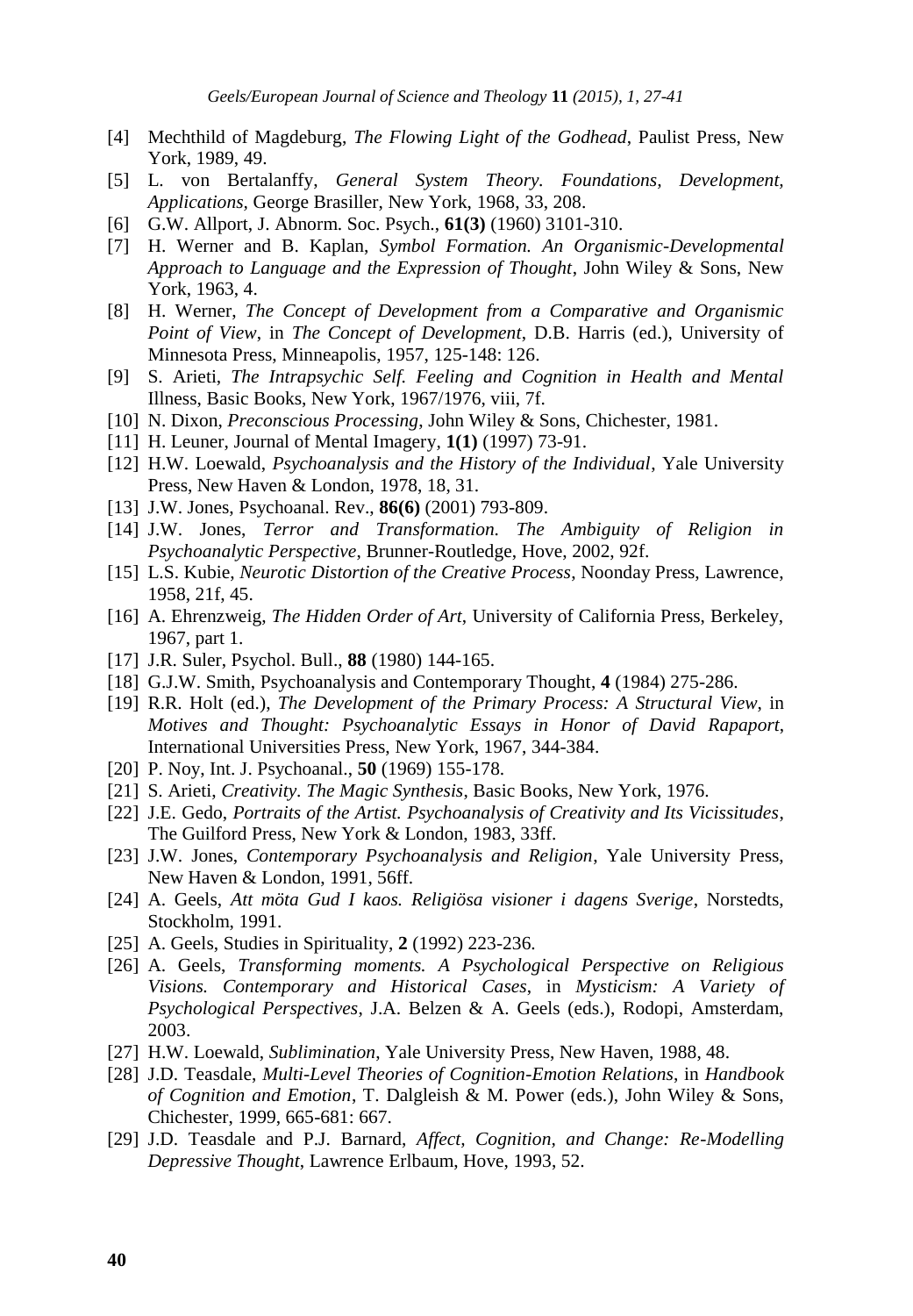- [4] Mechthild of Magdeburg, *The Flowing Light of the Godhead*, Paulist Press, New York, 1989, 49.
- [5] L. von Bertalanffy, *General System Theory. Foundations, Development, Applications,* George Brasiller, New York, 1968, 33, 208.
- [6] G.W. Allport, J. Abnorm. Soc. Psych., **61(3)** (1960) 3101-310.
- [7] H. Werner and B. Kaplan, *Symbol Formation. An Organismic-Developmental Approach to Language and the Expression of Thought*, John Wiley & Sons, New York, 1963, 4.
- [8] H. Werner, *The Concept of Development from a Comparative and Organismic Point of View*, in *The Concept of Development*, D.B. Harris (ed.), University of Minnesota Press, Minneapolis, 1957, 125-148: 126.
- [9] S. Arieti, *The Intrapsychic Self. Feeling and Cognition in Health and Mental*  Illness, Basic Books, New York, 1967/1976, viii, 7f.
- [10] N. Dixon, *Preconscious Processing*, John Wiley & Sons, Chichester, 1981.
- [11] H. Leuner, Journal of Mental Imagery*,* **1(1)** (1997) 73-91.
- [12] H.W. Loewald, *Psychoanalysis and the History of the Individual*, Yale University Press, New Haven & London, 1978, 18, 31.
- [13] J.W. Jones, Psychoanal. Rev., **86(6)** (2001) 793-809.
- [14] J.W. Jones, *Terror and Transformation. The Ambiguity of Religion in Psychoanalytic Perspective*, Brunner-Routledge, Hove, 2002, 92f.
- [15] L.S. Kubie, *Neurotic Distortion of the Creative Process*, Noonday Press, Lawrence, 1958, 21f, 45.
- [16] A. Ehrenzweig, *The Hidden Order of Art*, University of California Press, Berkeley, 1967, part 1.
- [17] J.R. Suler, Psychol. Bull., **88** (1980) 144-165.
- [18] G.J.W. Smith, Psychoanalysis and Contemporary Thought, **4** (1984) 275-286.
- [19] R.R. Holt (ed.), *The Development of the Primary Process: A Structural View*, in *Motives and Thought: Psychoanalytic Essays in Honor of David Rapaport*, International Universities Press, New York, 1967, 344-384.
- [20] P. Noy, Int. J. Psychoanal., **50** (1969) 155-178.
- [21] S. Arieti, *Creativity. The Magic Synthesis*, Basic Books, New York, 1976.
- [22] J.E. Gedo, *Portraits of the Artist. Psychoanalysis of Creativity and Its Vicissitudes*, The Guilford Press, New York & London, 1983, 33ff.
- [23] J.W. Jones, *Contemporary Psychoanalysis and Religion*, Yale University Press, New Haven & London, 1991, 56ff.
- [24] A. Geels, *Att möta Gud I kaos. Religiösa visioner i dagens Sverige*, Norstedts, Stockholm, 1991.
- [25] A. Geels, Studies in Spirituality, **2** (1992) 223-236.
- [26] A. Geels, *Transforming moments. A Psychological Perspective on Religious Visions. Contemporary and Historical Cases*, in *Mysticism: A Variety of Psychological Perspectives*, J.A. Belzen & A. Geels (eds.), Rodopi, Amsterdam, 2003.
- [27] H.W. Loewald, *Sublimination*, Yale University Press, New Haven, 1988, 48.
- [28] J.D. Teasdale, *Multi-Level Theories of Cognition-Emotion Relations*, in *Handbook of Cognition and Emotion*, T. Dalgleish & M. Power (eds.), John Wiley & Sons, Chichester, 1999, 665-681: 667.
- [29] J.D. Teasdale and P.J. Barnard, *Affect, Cognition, and Change: Re-Modelling Depressive Thought*, Lawrence Erlbaum, Hove, 1993, 52.